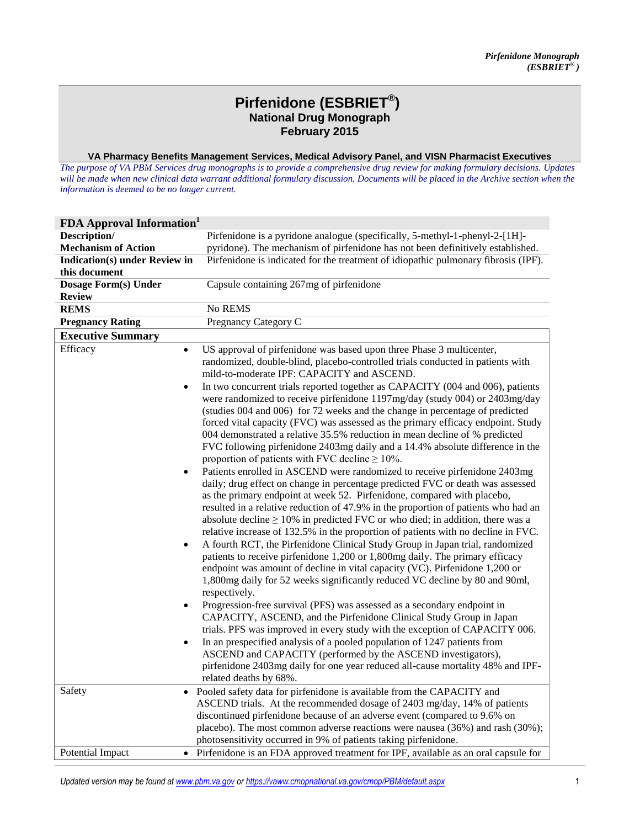## **Pirfenidone (ESBRIET® ) National Drug Monograph February 2015**

**VA Pharmacy Benefits Management Services, Medical Advisory Panel, and VISN Pharmacist Executives**

*The purpose of VA PBM Services drug monographs is to provide a comprehensive drug review for making formulary decisions. Updates*  will be made when new clinical data warrant additional formulary discussion. Documents will be placed in the Archive section when the *information is deemed to be no longer current.* 

| <b>FDA Approval Information</b>                               |                                                                                                                                                                                                                                                                                                                                                                                                                                                                                                                                                                                                                                                                                                                                                                                                                                                                                                                                                                                                                                                                                                                                                                                                                                                                                                                                                                                                                                                                                                                                                                                                                                                                                                                                                                                                                                                                                                               |
|---------------------------------------------------------------|---------------------------------------------------------------------------------------------------------------------------------------------------------------------------------------------------------------------------------------------------------------------------------------------------------------------------------------------------------------------------------------------------------------------------------------------------------------------------------------------------------------------------------------------------------------------------------------------------------------------------------------------------------------------------------------------------------------------------------------------------------------------------------------------------------------------------------------------------------------------------------------------------------------------------------------------------------------------------------------------------------------------------------------------------------------------------------------------------------------------------------------------------------------------------------------------------------------------------------------------------------------------------------------------------------------------------------------------------------------------------------------------------------------------------------------------------------------------------------------------------------------------------------------------------------------------------------------------------------------------------------------------------------------------------------------------------------------------------------------------------------------------------------------------------------------------------------------------------------------------------------------------------------------|
| Description/                                                  | Pirfenidone is a pyridone analogue (specifically, 5-methyl-1-phenyl-2-[1H]-                                                                                                                                                                                                                                                                                                                                                                                                                                                                                                                                                                                                                                                                                                                                                                                                                                                                                                                                                                                                                                                                                                                                                                                                                                                                                                                                                                                                                                                                                                                                                                                                                                                                                                                                                                                                                                   |
| <b>Mechanism of Action</b>                                    | pyridone). The mechanism of pirfenidone has not been definitively established.                                                                                                                                                                                                                                                                                                                                                                                                                                                                                                                                                                                                                                                                                                                                                                                                                                                                                                                                                                                                                                                                                                                                                                                                                                                                                                                                                                                                                                                                                                                                                                                                                                                                                                                                                                                                                                |
| <b>Indication(s)</b> under Review in                          | Pirfenidone is indicated for the treatment of idiopathic pulmonary fibrosis (IPF).                                                                                                                                                                                                                                                                                                                                                                                                                                                                                                                                                                                                                                                                                                                                                                                                                                                                                                                                                                                                                                                                                                                                                                                                                                                                                                                                                                                                                                                                                                                                                                                                                                                                                                                                                                                                                            |
| this document                                                 |                                                                                                                                                                                                                                                                                                                                                                                                                                                                                                                                                                                                                                                                                                                                                                                                                                                                                                                                                                                                                                                                                                                                                                                                                                                                                                                                                                                                                                                                                                                                                                                                                                                                                                                                                                                                                                                                                                               |
| Dosage Form(s) Under                                          | Capsule containing 267mg of pirfenidone                                                                                                                                                                                                                                                                                                                                                                                                                                                                                                                                                                                                                                                                                                                                                                                                                                                                                                                                                                                                                                                                                                                                                                                                                                                                                                                                                                                                                                                                                                                                                                                                                                                                                                                                                                                                                                                                       |
| <b>Review</b>                                                 |                                                                                                                                                                                                                                                                                                                                                                                                                                                                                                                                                                                                                                                                                                                                                                                                                                                                                                                                                                                                                                                                                                                                                                                                                                                                                                                                                                                                                                                                                                                                                                                                                                                                                                                                                                                                                                                                                                               |
| <b>REMS</b>                                                   | No REMS                                                                                                                                                                                                                                                                                                                                                                                                                                                                                                                                                                                                                                                                                                                                                                                                                                                                                                                                                                                                                                                                                                                                                                                                                                                                                                                                                                                                                                                                                                                                                                                                                                                                                                                                                                                                                                                                                                       |
| <b>Pregnancy Rating</b>                                       | Pregnancy Category C                                                                                                                                                                                                                                                                                                                                                                                                                                                                                                                                                                                                                                                                                                                                                                                                                                                                                                                                                                                                                                                                                                                                                                                                                                                                                                                                                                                                                                                                                                                                                                                                                                                                                                                                                                                                                                                                                          |
| <b>Executive Summary</b>                                      |                                                                                                                                                                                                                                                                                                                                                                                                                                                                                                                                                                                                                                                                                                                                                                                                                                                                                                                                                                                                                                                                                                                                                                                                                                                                                                                                                                                                                                                                                                                                                                                                                                                                                                                                                                                                                                                                                                               |
| Efficacy<br>$\bullet$                                         | US approval of pirfenidone was based upon three Phase 3 multicenter,<br>randomized, double-blind, placebo-controlled trials conducted in patients with<br>mild-to-moderate IPF: CAPACITY and ASCEND.                                                                                                                                                                                                                                                                                                                                                                                                                                                                                                                                                                                                                                                                                                                                                                                                                                                                                                                                                                                                                                                                                                                                                                                                                                                                                                                                                                                                                                                                                                                                                                                                                                                                                                          |
| $\bullet$<br>$\bullet$<br>$\bullet$<br>$\bullet$<br>$\bullet$ | In two concurrent trials reported together as CAPACITY (004 and 006), patients<br>were randomized to receive pirfenidone 1197mg/day (study 004) or 2403mg/day<br>(studies 004 and 006) for 72 weeks and the change in percentage of predicted<br>forced vital capacity (FVC) was assessed as the primary efficacy endpoint. Study<br>004 demonstrated a relative 35.5% reduction in mean decline of % predicted<br>FVC following pirfenidone 2403mg daily and a 14.4% absolute difference in the<br>proportion of patients with FVC decline $\geq 10\%$ .<br>Patients enrolled in ASCEND were randomized to receive pirfenidone 2403mg<br>daily; drug effect on change in percentage predicted FVC or death was assessed<br>as the primary endpoint at week 52. Pirfenidone, compared with placebo,<br>resulted in a relative reduction of 47.9% in the proportion of patients who had an<br>absolute decline $\geq$ 10% in predicted FVC or who died; in addition, there was a<br>relative increase of 132.5% in the proportion of patients with no decline in FVC.<br>A fourth RCT, the Pirfenidone Clinical Study Group in Japan trial, randomized<br>patients to receive pirfenidone 1,200 or 1,800mg daily. The primary efficacy<br>endpoint was amount of decline in vital capacity (VC). Pirfenidone 1,200 or<br>1,800mg daily for 52 weeks significantly reduced VC decline by 80 and 90ml,<br>respectively.<br>Progression-free survival (PFS) was assessed as a secondary endpoint in<br>CAPACITY, ASCEND, and the Pirfenidone Clinical Study Group in Japan<br>trials. PFS was improved in every study with the exception of CAPACITY 006.<br>In an prespecified analysis of a pooled population of 1247 patients from<br>ASCEND and CAPACITY (performed by the ASCEND investigators),<br>pirfenidone 2403mg daily for one year reduced all-cause mortality 48% and IPF-<br>related deaths by 68%. |
| Safety<br>$\bullet$                                           | Pooled safety data for pirfenidone is available from the CAPACITY and                                                                                                                                                                                                                                                                                                                                                                                                                                                                                                                                                                                                                                                                                                                                                                                                                                                                                                                                                                                                                                                                                                                                                                                                                                                                                                                                                                                                                                                                                                                                                                                                                                                                                                                                                                                                                                         |
|                                                               | ASCEND trials. At the recommended dosage of 2403 mg/day, 14% of patients                                                                                                                                                                                                                                                                                                                                                                                                                                                                                                                                                                                                                                                                                                                                                                                                                                                                                                                                                                                                                                                                                                                                                                                                                                                                                                                                                                                                                                                                                                                                                                                                                                                                                                                                                                                                                                      |
|                                                               | discontinued pirfenidone because of an adverse event (compared to 9.6% on                                                                                                                                                                                                                                                                                                                                                                                                                                                                                                                                                                                                                                                                                                                                                                                                                                                                                                                                                                                                                                                                                                                                                                                                                                                                                                                                                                                                                                                                                                                                                                                                                                                                                                                                                                                                                                     |
|                                                               | placebo). The most common adverse reactions were nausea (36%) and rash (30%);                                                                                                                                                                                                                                                                                                                                                                                                                                                                                                                                                                                                                                                                                                                                                                                                                                                                                                                                                                                                                                                                                                                                                                                                                                                                                                                                                                                                                                                                                                                                                                                                                                                                                                                                                                                                                                 |
|                                                               | photosensitivity occurred in 9% of patients taking pirfenidone.                                                                                                                                                                                                                                                                                                                                                                                                                                                                                                                                                                                                                                                                                                                                                                                                                                                                                                                                                                                                                                                                                                                                                                                                                                                                                                                                                                                                                                                                                                                                                                                                                                                                                                                                                                                                                                               |
| Potential Impact                                              | • Pirfenidone is an FDA approved treatment for IPF, available as an oral capsule for                                                                                                                                                                                                                                                                                                                                                                                                                                                                                                                                                                                                                                                                                                                                                                                                                                                                                                                                                                                                                                                                                                                                                                                                                                                                                                                                                                                                                                                                                                                                                                                                                                                                                                                                                                                                                          |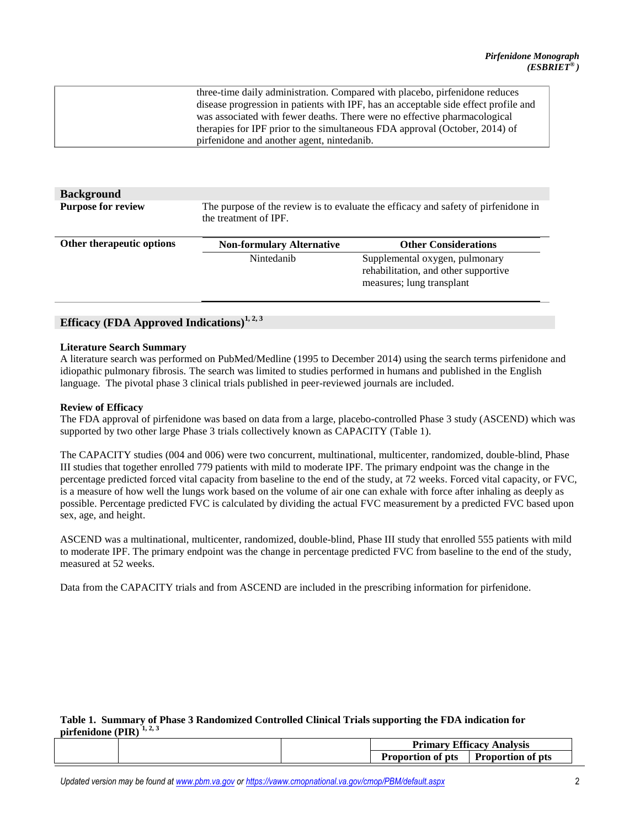| three-time daily administration. Compared with placebo, pirfenidone reduces         |
|-------------------------------------------------------------------------------------|
| disease progression in patients with IPF, has an acceptable side effect profile and |
| was associated with fewer deaths. There were no effective pharmacological           |
| therapies for IPF prior to the simultaneous FDA approval (October, 2014) of         |
| pirfenidone and another agent, nintedanib.                                          |
|                                                                                     |

| <b>Background</b><br><b>Purpose for review</b> | The purpose of the review is to evaluate the efficacy and safety of pirfenidone in<br>the treatment of IPF. |                                                                                                     |  |  |
|------------------------------------------------|-------------------------------------------------------------------------------------------------------------|-----------------------------------------------------------------------------------------------------|--|--|
| Other therapeutic options                      | <b>Non-formulary Alternative</b>                                                                            | <b>Other Considerations</b>                                                                         |  |  |
|                                                | Nintedanih                                                                                                  | Supplemental oxygen, pulmonary<br>rehabilitation, and other supportive<br>measures; lung transplant |  |  |

## **Efficacy (FDA Approved Indications)[1,](#page-10-0) [2, 3](#page-10-0)**

#### **Literature Search Summary**

A literature search was performed on PubMed/Medline (1995 to December 2014) using the search terms pirfenidone and idiopathic pulmonary fibrosis. The search was limited to studies performed in humans and published in the English language. The pivotal phase 3 clinical trials published in peer-reviewed journals are included.

#### **Review of Efficacy**

The FDA approval of pirfenidone was based on data from a large, placebo-controlled Phase 3 study (ASCEND) which was supported by two other large Phase 3 trials collectively known as CAPACITY (Table 1).

The CAPACITY studies (004 and 006) were two concurrent, multinational, multicenter, randomized, double-blind, Phase III studies that together enrolled 779 patients with mild to moderate IPF. The primary endpoint was the change in the percentage predicted forced vital capacity from baseline to the end of the study, at 72 weeks. Forced vital capacity, or FVC, is a measure of how well the lungs work based on the volume of air one can exhale with force after inhaling as deeply as possible. Percentage predicted FVC is calculated by dividing the actual FVC measurement by a predicted FVC based upon sex, age, and height.

ASCEND was a multinational, multicenter, randomized, double-blind, Phase III study that enrolled 555 patients with mild to moderate IPF. The primary endpoint was the change in percentage predicted FVC from baseline to the end of the study, measured at 52 weeks.

Data from the CAPACITY trials and from ASCEND are included in the prescribing information for pirfenidone.

#### **Table 1. Summary of Phase 3 Randomized Controlled Clinical Trials supporting the FDA indication for pirfenidone (PIR) [1, 2,](#page-10-0) [3](#page-10-0)**

| <b>Efficacy Analysis</b><br><b>Primary</b> |                   |
|--------------------------------------------|-------------------|
| <b>Proportion of pts</b>                   | Proportion of pts |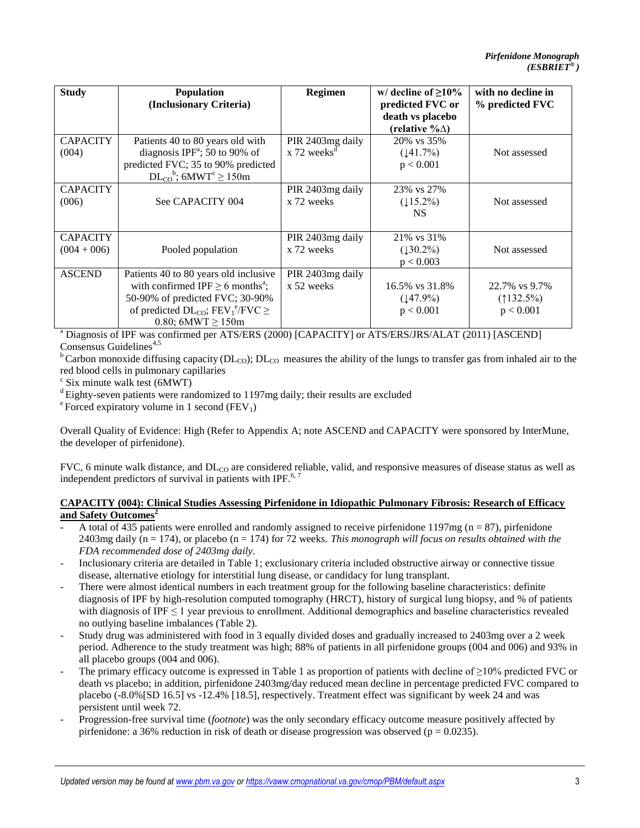| <b>Study</b>                     | <b>Population</b><br>(Inclusionary Criteria)                                                                                                                                                                                  | <b>Regimen</b>                                             | w/ decline of $\geq$ 10%<br>predicted FVC or   | with no decline in<br>% predicted FVC     |
|----------------------------------|-------------------------------------------------------------------------------------------------------------------------------------------------------------------------------------------------------------------------------|------------------------------------------------------------|------------------------------------------------|-------------------------------------------|
|                                  |                                                                                                                                                                                                                               |                                                            | death vs placebo<br>(relative $\% \triangle$ ) |                                           |
| <b>CAPACITY</b><br>(004)         | Patients 40 to 80 years old with<br>diagnosis IPF <sup>a</sup> ; 50 to 90% of<br>predicted FVC; 35 to 90% predicted<br>$DL_{CO}^{\text{b}}$ ; 6MWT <sup>c</sup> $\geq 150$ m                                                  | PIR 2403mg daily<br>$x$ 72 weeks <sup><math>d</math></sup> | 20% vs 35%<br>(141.7%)<br>p < 0.001            | Not assessed                              |
| <b>CAPACITY</b><br>(006)         | See CAPACITY 004                                                                                                                                                                                                              | PIR 2403mg daily<br>x 72 weeks                             | 23% vs 27%<br>$(115.2\%)$<br><b>NS</b>         | Not assessed                              |
| <b>CAPACITY</b><br>$(004 + 006)$ | Pooled population                                                                                                                                                                                                             | PIR 2403mg daily<br>x 72 weeks                             | 21% vs 31%<br>$(130.2\%)$<br>p < 0.003         | Not assessed                              |
| <b>ASCEND</b>                    | Patients 40 to 80 years old inclusive<br>with confirmed IPF $\geq$ 6 months <sup>a</sup> ;<br>50-90% of predicted FVC; 30-90%<br>of predicted $DL_{CO}$ ; FEV <sub>1</sub> <sup>e</sup> /FVC $\geq$<br>0.80; 6MWT $\geq$ 150m | PIR 2403mg daily<br>x 52 weeks                             | 16.5% vs 31.8%<br>$(147.9\%)$<br>p < 0.001     | 22.7% vs 9.7%<br>$(132.5\%)$<br>p < 0.001 |

<sup>a</sup> Diagnosis of IPF was confirmed per ATS/ERS (2000) [CAPACITY] or ATS/ERS/JRS/ALAT (2011) [ASCEND] Consensus Guidelines<sup>[4,5](#page-10-0)</sup>

<sup>b</sup> Carbon monoxide diffusing capacity ( $DL_{CO}$ );  $DL_{CO}$  measures the ability of the lungs to transfer gas from inhaled air to the red blood cells in pulmonary capillaries

c Six minute walk test (6MWT)

 $d$  Eighty-seven patients were randomized to 1197mg daily; their results are excluded

 $e^e$  Forced expiratory volume in 1 second (FEV<sub>1</sub>)

Overall Quality of Evidence: High (Refer to Appendix A; note ASCEND and CAPACITY were sponsored by InterMune, the developer of pirfenidone).

FVC, 6 minute walk distance, and  $DL_{CO}$  are considered reliable, valid, and responsive measures of disease status as well as independent predictors of survival in patients with IPF. $6, 7$ 

## **CAPACITY (004): Clinical Studies Assessing Pirfenidone in Idiopathic Pulmonary Fibrosis: Research of Efficacy and Safety Outcomes[2](#page-10-0)**

- A total of 435 patients were enrolled and randomly assigned to receive pirfenidone 1197mg ( $n = 87$ ), pirfenidone 2403mg daily ( $n = 174$ ), or placebo ( $n = 174$ ) for 72 weeks. *This monograph will focus on results obtained with the FDA recommended dose of 2403mg daily.*
- Inclusionary criteria are detailed in Table 1; exclusionary criteria included obstructive airway or connective tissue disease, alternative etiology for interstitial lung disease, or candidacy for lung transplant.
- There were almost identical numbers in each treatment group for the following baseline characteristics: definite diagnosis of IPF by high-resolution computed tomography (HRCT), history of surgical lung biopsy, and % of patients with diagnosis of IPF  $\leq 1$  year previous to enrollment. Additional demographics and baseline characteristics revealed no outlying baseline imbalances (Table 2).
- Study drug was administered with food in 3 equally divided doses and gradually increased to 2403mg over a 2 week period. Adherence to the study treatment was high; 88% of patients in all pirfenidone groups (004 and 006) and 93% in all placebo groups (004 and 006).
- The primary efficacy outcome is expressed in Table 1 as proportion of patients with decline of  $\geq$ 10% predicted FVC or death vs placebo; in addition, pirfenidone 2403mg/day reduced mean decline in percentage predicted FVC compared to placebo (-8.0%[SD 16.5] vs -12.4% [18.5], respectively. Treatment effect was significant by week 24 and was persistent until week 72.
- Progression-free survival time (*footnote*) was the only secondary efficacy outcome measure positively affected by pirfenidone: a 36% reduction in risk of death or disease progression was observed ( $p = 0.0235$ ).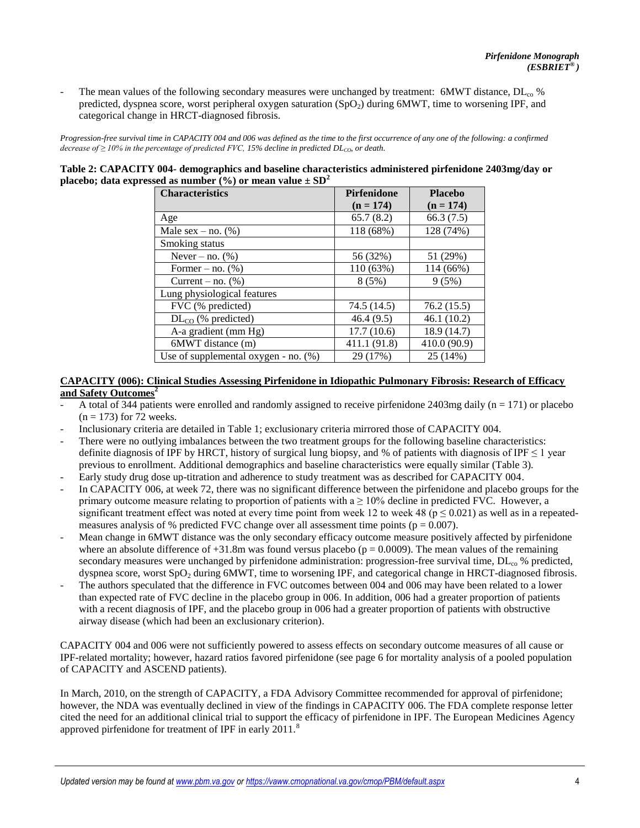The mean values of the following secondary measures were unchanged by treatment: 6MWT distance,  $DL_{co}$  % predicted, dyspnea score, worst peripheral oxygen saturation (SpO<sub>2</sub>) during 6MWT, time to worsening IPF, and categorical change in HRCT-diagnosed fibrosis.

*Progression-free survival time in CAPACITY 004 and 006 was defined as the time to the first occurrence of any one of the following: a confirmed decrease of ≥ 10% in the percentage of predicted FVC, 15% decline in predicted DLCO, or death.* 

| Table 2: CAPACITY 004- demographics and baseline characteristics administered pirfenidone 2403mg/day or |  |
|---------------------------------------------------------------------------------------------------------|--|
| placebo; data expressed as number $\frac{6}{6}$ or mean value $\pm$ SD <sup>2</sup>                     |  |

| <b>Characteristics</b>                  | <b>Pirfenidone</b> | <b>Placebo</b> |  |
|-----------------------------------------|--------------------|----------------|--|
|                                         | $(n = 174)$        | $(n = 174)$    |  |
| Age                                     | 65.7(8.2)          | 66.3(7.5)      |  |
| Male $sex - no.$ (%)                    | 118 (68%)          | 128 (74%)      |  |
| Smoking status                          |                    |                |  |
| Never – no. $(\%)$                      | 56 (32%)           | 51 (29%)       |  |
| Former – no. $(\%)$                     | 110 (63%)          | 114 (66%)      |  |
| Current – no. $(\%)$                    | 8(5%)              | 9(5%)          |  |
| Lung physiological features             |                    |                |  |
| FVC (% predicted)                       | 74.5 (14.5)        | 76.2(15.5)     |  |
| $DL_{CO}$ (% predicted)                 | 46.4(9.5)          | 46.1(10.2)     |  |
| A-a gradient (mm Hg)                    | 17.7(10.6)         | 18.9 (14.7)    |  |
| 6MWT distance (m)                       | 411.1 (91.8)       | 410.0 (90.9)   |  |
| Use of supplemental oxygen - no. $(\%)$ | 29 (17%)           | 25 (14%)       |  |

#### **CAPACITY (006): Clinical Studies Assessing Pirfenidone in Idiopathic Pulmonary Fibrosis: Research of Efficacy and Safety Outcomes[2](#page-10-0)**

- A total of 344 patients were enrolled and randomly assigned to receive pirfenidone  $2403mg$  daily (n = 171) or placebo  $(n = 173)$  for 72 weeks.
- Inclusionary criteria are detailed in Table 1; exclusionary criteria mirrored those of CAPACITY 004.
- There were no outlying imbalances between the two treatment groups for the following baseline characteristics: definite diagnosis of IPF by HRCT, history of surgical lung biopsy, and % of patients with diagnosis of IPF  $\leq 1$  year previous to enrollment. Additional demographics and baseline characteristics were equally similar (Table 3).
- Early study drug dose up-titration and adherence to study treatment was as described for CAPACITY 004.
- In CAPACITY 006, at week 72, there was no significant difference between the pirfenidone and placebo groups for the primary outcome measure relating to proportion of patients with  $a \ge 10\%$  decline in predicted FVC. However, a significant treatment effect was noted at every time point from week 12 to week 48 ( $p \le 0.021$ ) as well as in a repeatedmeasures analysis of % predicted FVC change over all assessment time points ( $p = 0.007$ ).
- Mean change in 6MWT distance was the only secondary efficacy outcome measure positively affected by pirfenidone where an absolute difference of  $+31.8$ m was found versus placebo (p = 0.0009). The mean values of the remaining secondary measures were unchanged by pirfenidone administration: progression-free survival time, DL<sub>co</sub> % predicted, dyspnea score, worst  $SpO<sub>2</sub>$  during 6MWT, time to worsening IPF, and categorical change in HRCT-diagnosed fibrosis.
- The authors speculated that the difference in FVC outcomes between 004 and 006 may have been related to a lower than expected rate of FVC decline in the placebo group in 006. In addition, 006 had a greater proportion of patients with a recent diagnosis of IPF, and the placebo group in 006 had a greater proportion of patients with obstructive airway disease (which had been an exclusionary criterion).

CAPACITY 004 and 006 were not sufficiently powered to assess effects on secondary outcome measures of all cause or IPF-related mortality; however, hazard ratios favored pirfenidone (see page 6 for mortality analysis of a pooled population of CAPACITY and ASCEND patients).

In March, 2010, on the strength of CAPACITY, a FDA Advisory Committee recommended for approval of pirfenidone; however, the NDA was eventually declined in view of the findings in CAPACITY 006. The FDA complete response letter cited the need for an additional clinical trial to support the efficacy of pirfenidone in IPF. The European Medicines Agency approved pirfenidone for treatment of IPF in early 2011.<sup>[8](#page-10-0)</sup>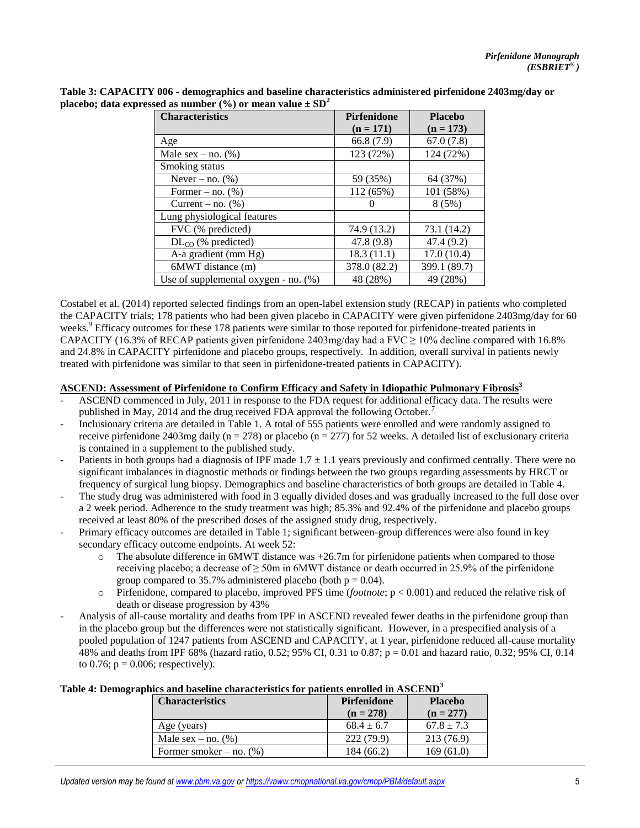| <b>Characteristics</b>               | <b>Pirfenidone</b> | <b>Placebo</b> |  |
|--------------------------------------|--------------------|----------------|--|
|                                      | $(n = 171)$        | $(n = 173)$    |  |
| Age                                  | 66.8 (7.9)         | 67.0(7.8)      |  |
| Male $sex - no.$ (%)                 | 123 (72%)          | 124 (72%)      |  |
| Smoking status                       |                    |                |  |
| Never – no. $(\%)$                   | 59 (35%)           | 64 (37%)       |  |
| Former – no. $(\% )$                 | 112 (65%)          | 101 (58%)      |  |
| Current – no. $(\%)$                 |                    | 8(5%)          |  |
| Lung physiological features          |                    |                |  |
| FVC (% predicted)                    | 74.9 (13.2)        | 73.1 (14.2)    |  |
| $DL_{CO}$ (% predicted)              | 47.8 (9.8)         | 47.4 (9.2)     |  |
| A-a gradient (mm Hg)                 | 18.3(11.1)         | 17.0(10.4)     |  |
| 6MWT distance (m)                    | 378.0 (82.2)       | 399.1 (89.7)   |  |
| Use of supplemental oxygen - no. (%) | 48 (28%)           | 49 (28%)       |  |

**Table 3: CAPACITY 006 - demographics and baseline characteristics administered pirfenidone 2403mg/day or placebo; data expressed as number**  $(\%)$  **or mean value**  $\pm$  **SD<sup>2</sup>** 

Costabel et al. (2014) reported selected findings from an open-label extension study (RECAP) in patients who completed the CAPACITY trials; 178 patients who had been given placebo in CAPACITY were given pirfenidone 2403mg/day for 60 weeks.<sup>[9](#page-10-0)</sup> Efficacy outcomes for these 178 patients were similar to those reported for pirfenidone-treated patients in CAPACITY (16.3% of RECAP patients given pirfenidone 2403mg/day had a FVC  $\geq$  10% decline compared with 16.8% and 24.8% in CAPACITY pirfenidone and placebo groups, respectively. In addition, overall survival in patients newly treated with pirfenidone was similar to that seen in pirfenidone-treated patients in CAPACITY).

#### **ASCEND: Assessment of Pirfenidone to Confirm Efficacy and Safety in Idiopathic Pulmonary Fibrosis[3](#page-10-0)**

- ASCEND commenced in July, 2011 in response to the FDA request for additional efficacy data. The results were published in May, 2014 and the drug received FDA approval the following October.<sup>[7](#page-10-0)</sup>
- Inclusionary criteria are detailed in Table 1. A total of 555 patients were enrolled and were randomly assigned to receive pirfenidone 2403mg daily ( $n = 278$ ) or placebo ( $n = 277$ ) for 52 weeks. A detailed list of exclusionary criteria is contained in a supplement to the published study.
- Patients in both groups had a diagnosis of IPF made  $1.7 \pm 1.1$  years previously and confirmed centrally. There were no significant imbalances in diagnostic methods or findings between the two groups regarding assessments by HRCT or frequency of surgical lung biopsy. Demographics and baseline characteristics of both groups are detailed in Table 4.
- The study drug was administered with food in 3 equally divided doses and was gradually increased to the full dose over a 2 week period. Adherence to the study treatment was high; 85.3% and 92.4% of the pirfenidone and placebo groups received at least 80% of the prescribed doses of the assigned study drug, respectively.
- Primary efficacy outcomes are detailed in Table 1; significant between-group differences were also found in key secondary efficacy outcome endpoints. At week 52:
	- $\circ$  The absolute difference in 6MWT distance was  $+26.7$ m for pirfenidone patients when compared to those receiving placebo; a decrease of  $\geq$  50m in 6MWT distance or death occurred in 25.9% of the pirfenidone group compared to 35.7% administered placebo (both  $p = 0.04$ ).
	- o Pirfenidone, compared to placebo, improved PFS time (*footnote*; p < 0.001) and reduced the relative risk of death or disease progression by 43%
- Analysis of all-cause mortality and deaths from IPF in ASCEND revealed fewer deaths in the pirfenidone group than in the placebo group but the differences were not statistically significant. However, in a prespecified analysis of a pooled population of 1247 patients from ASCEND and CAPACITY, at 1 year, pirfenidone reduced all-cause mortality 48% and deaths from IPF 68% (hazard ratio, 0.52; 95% CI, 0.31 to 0.87; p = 0.01 and hazard ratio, 0.32; 95% CI, 0.14 to 0.76;  $p = 0.006$ ; respectively).

| <b>Characteristics</b>     | <b>Pirfenidone</b><br>$(n = 278)$ | <b>Placebo</b><br>$(n = 277)$ |
|----------------------------|-----------------------------------|-------------------------------|
| Age (years)                | $68.4 \pm 6.7$                    | $67.8 \pm 7.3$                |
| Male sex – no. $(\%)$      | 222 (79.9)                        | 213 (76.9)                    |
| Former smoker – no. $(\%)$ | 184 (66.2)                        | 169(61.0)                     |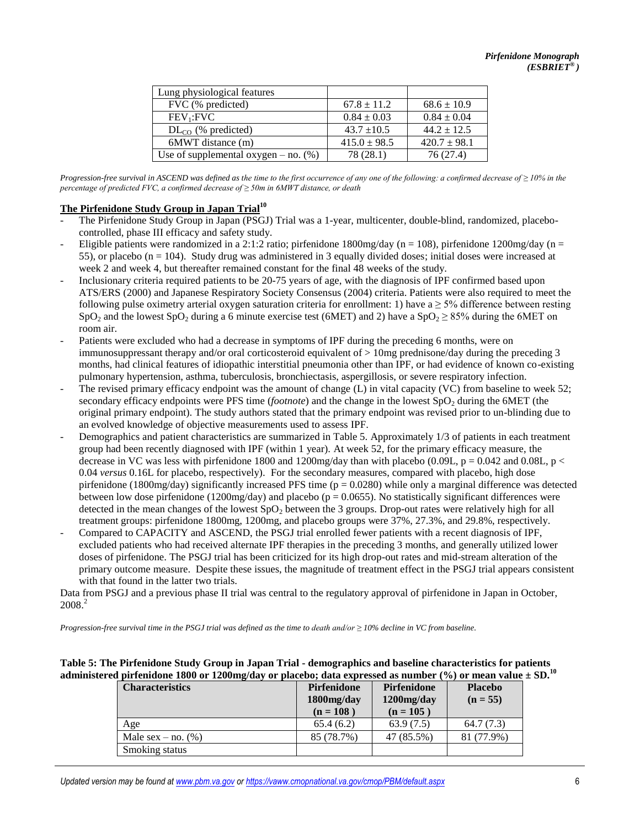| Lung physiological features               |                  |                  |
|-------------------------------------------|------------------|------------------|
| FVC (% predicted)                         | $67.8 \pm 11.2$  | $68.6 \pm 10.9$  |
| $FEV_1: FVC$                              | $0.84 \pm 0.03$  | $0.84 \pm 0.04$  |
| $DL_{CO}$ (% predicted)                   | $43.7 \pm 10.5$  | $44.2 \pm 12.5$  |
| 6MWT distance (m)                         | $415.0 \pm 98.5$ | $420.7 \pm 98.1$ |
| Use of supplemental oxygen $-$ no. $(\%)$ | 78 (28.1)        | 76 (27.4)        |

*Progression-free survival in ASCEND was defined as the time to the first occurrence of any one of the following: a confirmed decrease of* ≥ 10% in the *percentage of predicted FVC, a confirmed decrease of ≥ 50m in 6MWT distance, or death*

## **The Pirfenidone Study Group in Japan Trial[10](#page-10-0)**

- The Pirfenidone Study Group in Japan (PSGJ) Trial was a 1-year, multicenter, double-blind, randomized, placebocontrolled, phase III efficacy and safety study.
- Eligible patients were randomized in a 2:1:2 ratio; pirfenidone 1800mg/day (n = 108), pirfenidone 1200mg/day (n = 55), or placebo ( $n = 104$ ). Study drug was administered in 3 equally divided doses; initial doses were increased at week 2 and week 4, but thereafter remained constant for the final 48 weeks of the study.
- Inclusionary criteria required patients to be 20-75 years of age, with the diagnosis of IPF confirmed based upon ATS/ERS (2000) and Japanese Respiratory Society Consensus (2004) criteria. Patients were also required to meet the following pulse oximetry arterial oxygen saturation criteria for enrollment: 1) have  $a \ge 5\%$  difference between resting SpO<sub>2</sub> and the lowest SpO<sub>2</sub> during a 6 minute exercise test (6MET) and 2) have a SpO<sub>2</sub>  $\geq$  85% during the 6MET on room air.
- Patients were excluded who had a decrease in symptoms of IPF during the preceding 6 months, were on immunosuppressant therapy and/or oral corticosteroid equivalent of > 10mg prednisone/day during the preceding 3 months, had clinical features of idiopathic interstitial pneumonia other than IPF, or had evidence of known co-existing pulmonary hypertension, asthma, tuberculosis, bronchiectasis, aspergillosis, or severe respiratory infection.
- The revised primary efficacy endpoint was the amount of change (L) in vital capacity (VC) from baseline to week 52; secondary efficacy endpoints were PFS time *(footnote)* and the change in the lowest SpO<sub>2</sub> during the 6MET (the original primary endpoint). The study authors stated that the primary endpoint was revised prior to un-blinding due to an evolved knowledge of objective measurements used to assess IPF.
- Demographics and patient characteristics are summarized in Table 5. Approximately 1/3 of patients in each treatment group had been recently diagnosed with IPF (within 1 year). At week 52, for the primary efficacy measure, the decrease in VC was less with pirfenidone 1800 and 1200mg/day than with placebo (0.09L,  $p = 0.042$  and 0.08L,  $p <$ 0.04 *versus* 0.16L for placebo, respectively). For the secondary measures, compared with placebo, high dose pirfenidone (1800mg/day) significantly increased PFS time ( $p = 0.0280$ ) while only a marginal difference was detected between low dose pirfenidone (1200mg/day) and placebo ( $p = 0.0655$ ). No statistically significant differences were detected in the mean changes of the lowest  $SpO<sub>2</sub>$  between the 3 groups. Drop-out rates were relatively high for all treatment groups: pirfenidone 1800mg, 1200mg, and placebo groups were 37%, 27.3%, and 29.8%, respectively.
- Compared to CAPACITY and ASCEND, the PSGJ trial enrolled fewer patients with a recent diagnosis of IPF, excluded patients who had received alternate IPF therapies in the preceding 3 months, and generally utilized lower doses of pirfenidone. The PSGJ trial has been criticized for its high drop-out rates and mid-stream alteration of the primary outcome measure. Despite these issues, the magnitude of treatment effect in the PSGJ trial appears consistent with that found in the latter two trials.

Data from PSGJ and a previous phase II trial was central to the regulatory approval of pirfenidone in Japan in October,  $2008.<sup>2</sup>$  $2008.<sup>2</sup>$ 

*Progression-free survival time in the PSGJ trial was defined as the time to death and/or ≥ 10% decline in VC from baseline.* 

**Table 5: The Pirfenidone Study Group in Japan Trial - demographics and baseline characteristics for patients administered pirfenidone 1800 or 1200mg/day or placebo; data expressed as number (%) or mean value ± SD.[10](#page-10-0)** 

| <b>Characteristics</b> | Pirfenidone<br>1800mg/day<br>$(n = 108)$ | Pirfenidone<br>$1200$ mg/day<br>$(n = 105)$ | <b>Placebo</b><br>$(n = 55)$ |
|------------------------|------------------------------------------|---------------------------------------------|------------------------------|
| Age                    | 65.4(6.2)                                | 63.9(7.5)                                   | 64.7(7.3)                    |
| Male $sex - no.$ (%)   | 85 (78.7%)                               | 47 (85.5%)                                  | 81 (77.9%)                   |
| Smoking status         |                                          |                                             |                              |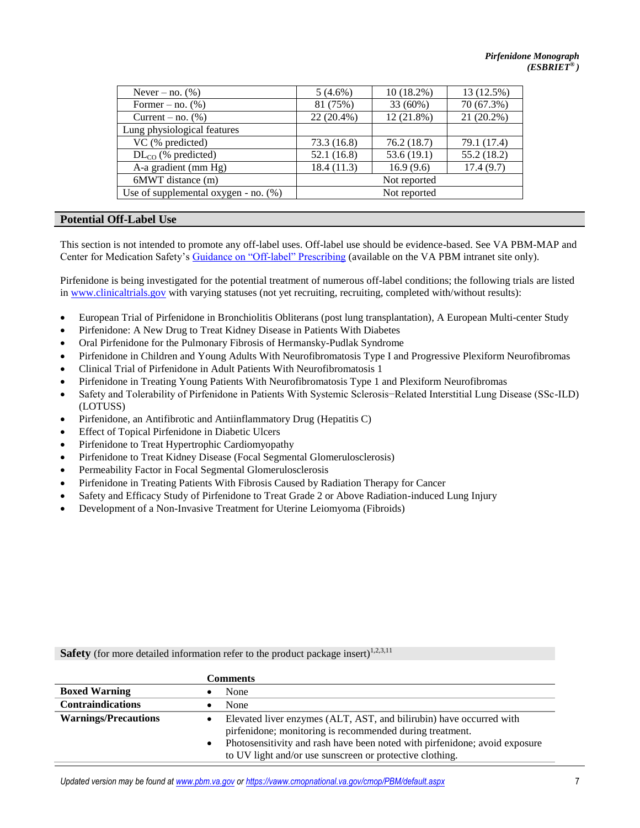| Never – no. $(\%)$                      | $5(4.6\%)$   | $10(18.2\%)$ | 13 (12.5%)   |
|-----------------------------------------|--------------|--------------|--------------|
| Former – no. $(\% )$                    | 81 (75%)     | 33 (60%)     | 70 (67.3%)   |
| Current – no. $(\%)$                    | $22(20.4\%)$ | 12 (21.8%)   | $21(20.2\%)$ |
| Lung physiological features             |              |              |              |
| VC (% predicted)                        | 73.3 (16.8)  | 76.2(18.7)   | 79.1 (17.4)  |
| $DL_{CO}$ (% predicted)                 | 52.1(16.8)   | 53.6(19.1)   | 55.2 (18.2)  |
| A-a gradient (mm Hg)                    | 18.4 (11.3)  | 16.9(9.6)    | 17.4(9.7)    |
| 6MWT distance (m)                       |              | Not reported |              |
| Use of supplemental oxygen - no. $(\%)$ | Not reported |              |              |
|                                         |              |              |              |

## **Potential Off-Label Use**

This section is not intended to promote any off-label uses. Off-label use should be evidence-based. See VA PBM-MAP and Center for Medication Safety's [Guidance on "Off-label" Prescribing](http://vaww.national.cmop.va.gov/PBM/Directives%20Policies%20and%20Information%20Letters/Guidance%20on%20Off%20Label%20Prescribing.pdf) (available on the VA PBM intranet site only).

Pirfenidone is being investigated for the potential treatment of numerous off-label conditions; the following trials are listed in [www.clinicaltrials.gov](http://www.clinicaltrials.gov/) with varying statuses (not yet recruiting, recruiting, completed with/without results):

- [European Trial of Pirfenidone in Bronchiolitis Obliterans \(post lung transplantation\), A European Multi-center Study](https://clinicaltrials.gov/ct2/show/NCT02262299?term=pirfenidone&rank=1)
- [Pirfenidone: A New Drug to Treat Kidney Disease in Patients With Diabetes](https://clinicaltrials.gov/ct2/show/NCT00063583?term=pirfenidone&rank=2)
- [Oral Pirfenidone for the Pulmonary Fibrosis of Hermansky-Pudlak Syndrome](https://clinicaltrials.gov/ct2/show/NCT00001596?term=pirfenidone&rank=3)
- [Pirfenidone in Children and Young Adults With Neurofibromatosis Type I and Progressive Plexiform Neurofibromas](https://clinicaltrials.gov/ct2/show/NCT00076102?term=pirfenidone&rank=4)
- [Clinical Trial of Pirfenidone in Adult Patients With Neurofibromatosis 1](https://clinicaltrials.gov/ct2/show/NCT00754780?term=pirfenidone&rank=17)
- [Pirfenidone in Treating Young Patients With Neurofibromatosis Type 1 and Plexiform Neurofibromas](https://clinicaltrials.gov/ct2/show/NCT00053937?term=pirfenidone&rank=19)
- [Safety and Tolerability of Pirfenidone in Patients With Systemic Sclerosis−Related Interstitial Lung Disease \(SSc-ILD\)](https://clinicaltrials.gov/ct2/show/NCT01933334?term=pirfenidone&rank=5)  [\(LOTUSS\)](https://clinicaltrials.gov/ct2/show/NCT01933334?term=pirfenidone&rank=5)
- [Pirfenidone, an Antifibrotic and Antiinflammatory Drug \(Hepatitis C\)](https://clinicaltrials.gov/ct2/show/NCT02161952?term=pirfenidone&rank=8)
- [Effect of Topical Pirfenidone in Diabetic Ulcers](https://clinicaltrials.gov/ct2/show/NCT02222376?term=pirfenidone&rank=13)
- [Pirfenidone to Treat Hypertrophic Cardiomyopathy](https://clinicaltrials.gov/ct2/show/NCT00011076?term=pirfenidone&rank=15)
- [Pirfenidone to Treat Kidney Disease \(Focal Segmental Glomerulosclerosis\)](https://clinicaltrials.gov/ct2/show/NCT00001959?term=pirfenidone&rank=16)
- [Permeability Factor in Focal Segmental Glomerulosclerosis](https://clinicaltrials.gov/ct2/show/NCT00007475?term=pirfenidone&rank=28)
- [Pirfenidone in Treating Patients With Fibrosis Caused by Radiation Therapy for Cancer](https://clinicaltrials.gov/ct2/show/NCT00020631?term=pirfenidone&rank=18)
- [Safety and Efficacy Study of Pirfenidone to Treat Grade 2 or Above Radiation-induced Lung Injury](https://clinicaltrials.gov/ct2/show/NCT02296281?term=pirfenidone&rank=22)
- [Development of a Non-Invasive Treatment for Uterine Leiomyoma \(Fibroids\)](https://clinicaltrials.gov/ct2/show/NCT00332033?term=pirfenidone&rank=23)

**Safety** (for more detailed information refer to the product package insert)<sup>[1,2,3,11](#page-10-0)</sup>

|                             | <b>Comments</b> |                                                                                                                                        |
|-----------------------------|-----------------|----------------------------------------------------------------------------------------------------------------------------------------|
| <b>Boxed Warning</b>        |                 | None                                                                                                                                   |
| <b>Contraindications</b>    |                 | None                                                                                                                                   |
| <b>Warnings/Precautions</b> |                 | Elevated liver enzymes (ALT, AST, and bilirubin) have occurred with<br>pirfenidone; monitoring is recommended during treatment.        |
|                             |                 | Photosensitivity and rash have been noted with pirfenidone; avoid exposure<br>to UV light and/or use sunscreen or protective clothing. |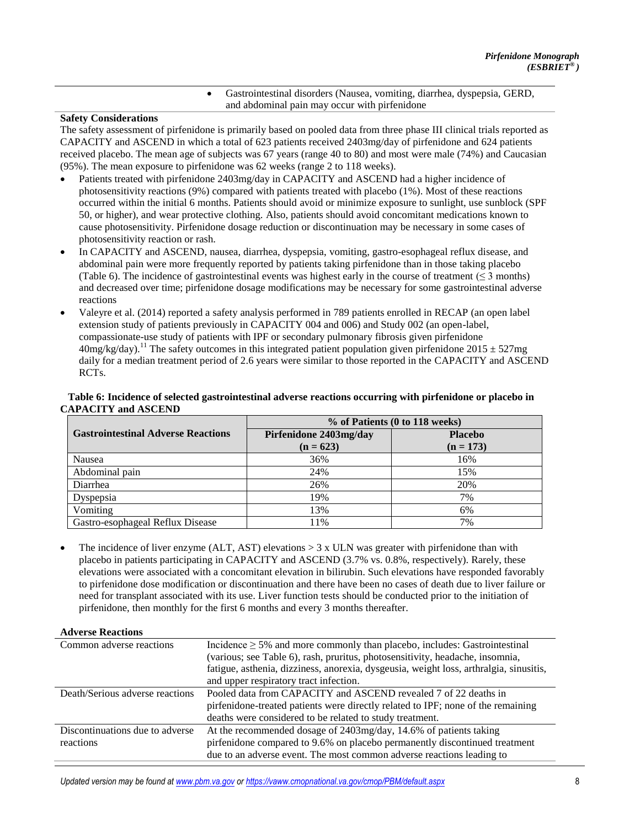Gastrointestinal disorders (Nausea, vomiting, diarrhea, dyspepsia, GERD, and abdominal pain may occur with pirfenidone

#### **Safety Considerations**

The safety assessment of pirfenidone is primarily based on pooled data from three phase III clinical trials reported as CAPACITY and ASCEND in which a total of 623 patients received 2403mg/day of pirfenidone and 624 patients received placebo. The mean age of subjects was 67 years (range 40 to 80) and most were male (74%) and Caucasian (95%). The mean exposure to pirfenidone was 62 weeks (range 2 to 118 weeks).

- Patients treated with pirfenidone 2403mg/day in CAPACITY and ASCEND had a higher incidence of photosensitivity reactions (9%) compared with patients treated with placebo (1%). Most of these reactions occurred within the initial 6 months. Patients should avoid or minimize exposure to sunlight, use sunblock (SPF 50, or higher), and wear protective clothing. Also, patients should avoid concomitant medications known to cause photosensitivity. Pirfenidone dosage reduction or discontinuation may be necessary in some cases of photosensitivity reaction or rash.
- In CAPACITY and ASCEND, nausea, diarrhea, dyspepsia, vomiting, gastro-esophageal reflux disease, and abdominal pain were more frequently reported by patients taking pirfenidone than in those taking placebo (Table 6). The incidence of gastrointestinal events was highest early in the course of treatment ( $\leq$  3 months) and decreased over time; pirfenidone dosage modifications may be necessary for some gastrointestinal adverse reactions
- Valeyre et al. (2014) reported a safety analysis performed in 789 patients enrolled in RECAP (an open label extension study of patients previously in CAPACITY 004 and 006) and Study 002 (an open-label, compassionate-use study of patients with IPF or secondary pulmonary fibrosis given pirfenidone  $40$ mg/kg/day).<sup>[11](#page-10-0)</sup> The safety outcomes in this integrated patient population given pirfenidone 2015  $\pm$  527mg daily for a median treatment period of 2.6 years were similar to those reported in the CAPACITY and ASCEND RCTs.

#### **Table 6: Incidence of selected gastrointestinal adverse reactions occurring with pirfenidone or placebo in CAPACITY and ASCEND**

|                                           | % of Patients (0 to 118 weeks) |                |  |  |
|-------------------------------------------|--------------------------------|----------------|--|--|
| <b>Gastrointestinal Adverse Reactions</b> | Pirfenidone 2403mg/day         | <b>Placebo</b> |  |  |
|                                           | $(n = 623)$                    | $(n = 173)$    |  |  |
| Nausea                                    | 36%                            | 16%            |  |  |
| Abdominal pain                            | 24%                            | 15%            |  |  |
| Diarrhea                                  | 26%                            | 20%            |  |  |
| Dyspepsia                                 | 19%                            | 7%             |  |  |
| Vomiting                                  | 13%                            | 6%             |  |  |
| Gastro-esophageal Reflux Disease          | 11%                            | 7%             |  |  |

The incidence of liver enzyme  $(ALT, AST)$  elevations  $> 3 \times ULN$  was greater with pirfenidone than with placebo in patients participating in CAPACITY and ASCEND (3.7% vs. 0.8%, respectively). Rarely, these elevations were associated with a concomitant elevation in bilirubin. Such elevations have responded favorably to pirfenidone dose modification or discontinuation and there have been no cases of death due to liver failure or need for transplant associated with its use. Liver function tests should be conducted prior to the initiation of pirfenidone, then monthly for the first 6 months and every 3 months thereafter.

#### **Adverse Reactions**

| Common adverse reactions        | Incidence $\geq$ 5% and more commonly than placebo, includes: Gastrointestinal         |
|---------------------------------|----------------------------------------------------------------------------------------|
|                                 | (various; see Table 6), rash, pruritus, photosensitivity, headache, insomnia,          |
|                                 | fatigue, asthenia, dizziness, anorexia, dysgeusia, weight loss, arthralgia, sinusitis, |
|                                 | and upper respiratory tract infection.                                                 |
| Death/Serious adverse reactions | Pooled data from CAPACITY and ASCEND revealed 7 of 22 deaths in                        |
|                                 | pirfenidone-treated patients were directly related to IPF; none of the remaining       |
|                                 | deaths were considered to be related to study treatment.                               |
| Discontinuations due to adverse | At the recommended dosage of 2403mg/day, 14.6% of patients taking                      |
| reactions                       | pirfenidone compared to 9.6% on placebo permanently discontinued treatment             |
|                                 | due to an adverse event. The most common adverse reactions leading to                  |
|                                 |                                                                                        |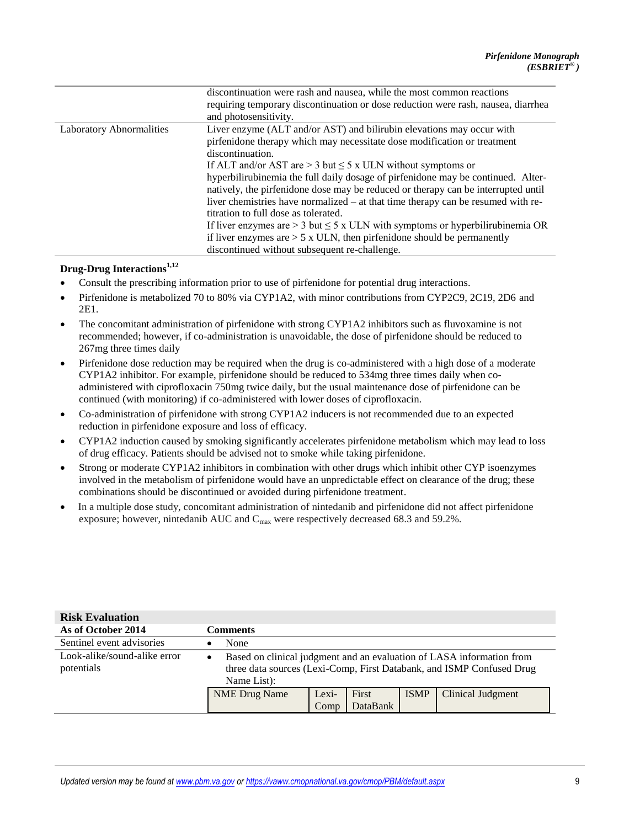|                                 | discontinuation were rash and nausea, while the most common reactions                |  |  |
|---------------------------------|--------------------------------------------------------------------------------------|--|--|
|                                 | requiring temporary discontinuation or dose reduction were rash, nausea, diarrhea    |  |  |
|                                 | and photosensitivity.                                                                |  |  |
| <b>Laboratory Abnormalities</b> | Liver enzyme (ALT and/or AST) and bilirubin elevations may occur with                |  |  |
|                                 | pirfenidone therapy which may necessitate dose modification or treatment             |  |  |
|                                 | discontinuation.                                                                     |  |  |
|                                 | If ALT and/or AST are $>$ 3 but $\leq$ 5 x ULN without symptoms or                   |  |  |
|                                 | hyperbilirubinemia the full daily dosage of pirfenidone may be continued. Alter-     |  |  |
|                                 | natively, the pirfenidone dose may be reduced or therapy can be interrupted until    |  |  |
|                                 | liver chemistries have normalized – at that time therapy can be resumed with re-     |  |  |
|                                 | titration to full dose as tolerated.                                                 |  |  |
|                                 | If liver enzymes are $>$ 3 but $\leq$ 5 x ULN with symptoms or hyperbilirubinemia OR |  |  |
|                                 | if liver enzymes are $> 5$ x ULN, then pirfenidone should be permanently             |  |  |
|                                 | discontinued without subsequent re-challenge.                                        |  |  |

## **Drug-Drug Interactions[1,12](#page-10-0)**

- Consult the prescribing information prior to use of pirfenidone for potential drug interactions.
- Pirfenidone is metabolized 70 to 80% via CYP1A2, with minor contributions from CYP2C9, 2C19, 2D6 and 2E1.
- The concomitant administration of pirfenidone with strong CYP1A2 inhibitors such as fluvoxamine is not recommended; however, if co-administration is unavoidable, the dose of pirfenidone should be reduced to 267mg three times daily
- Pirfenidone dose reduction may be required when the drug is co-administered with a high dose of a moderate CYP1A2 inhibitor. For example, pirfenidone should be reduced to 534mg three times daily when coadministered with ciprofloxacin 750mg twice daily, but the usual maintenance dose of pirfenidone can be continued (with monitoring) if co-administered with lower doses of ciprofloxacin.
- Co-administration of pirfenidone with strong CYP1A2 inducers is not recommended due to an expected reduction in pirfenidone exposure and loss of efficacy.
- CYP1A2 induction caused by smoking significantly accelerates pirfenidone metabolism which may lead to loss of drug efficacy. Patients should be advised not to smoke while taking pirfenidone.
- Strong or moderate CYP1A2 inhibitors in combination with other drugs which inhibit other CYP isoenzymes involved in the metabolism of pirfenidone would have an unpredictable effect on clearance of the drug; these combinations should be discontinued or avoided during pirfenidone treatment.
- In a multiple dose study, concomitant administration of nintedanib and pirfenidone did not affect pirfenidone exposure; however, nintedanib AUC and  $C_{\text{max}}$  were respectively decreased 68.3 and 59.2%.

| <b>Risk Evaluation</b>                     |                         |                                                                                                                                                |          |             |                   |
|--------------------------------------------|-------------------------|------------------------------------------------------------------------------------------------------------------------------------------------|----------|-------------|-------------------|
| As of October 2014                         | Comments                |                                                                                                                                                |          |             |                   |
| Sentinel event advisories                  | None                    |                                                                                                                                                |          |             |                   |
| Look-alike/sound-alike error<br>potentials | $\bullet$<br>Name List: | Based on clinical judgment and an evaluation of LASA information from<br>three data sources (Lexi-Comp, First Databank, and ISMP Confused Drug |          |             |                   |
|                                            | <b>NME Drug Name</b>    | Lexi-                                                                                                                                          | First    | <b>ISMP</b> | Clinical Judgment |
|                                            |                         | Comp                                                                                                                                           | DataBank |             |                   |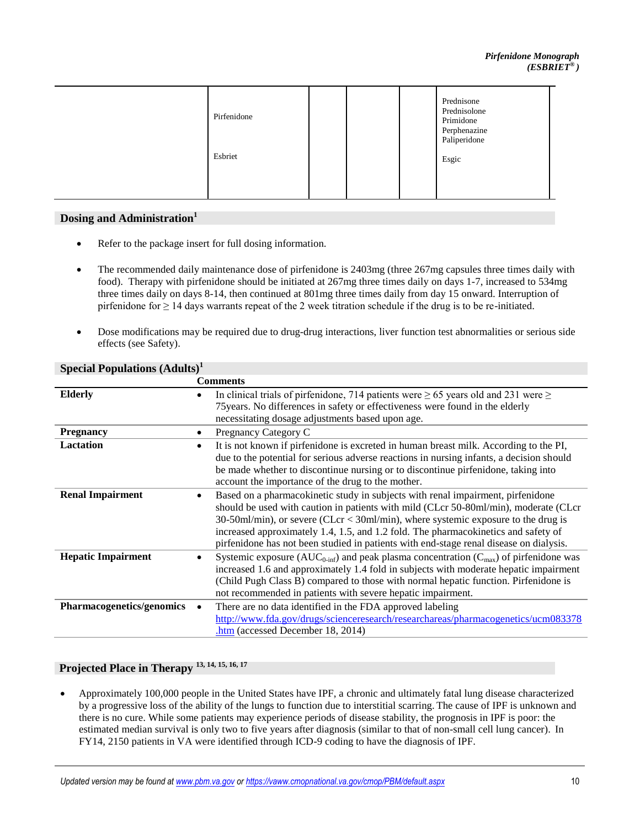## **Dosing and Administration[1](#page-10-0)**

- Refer to the package insert for full dosing information.
- The recommended daily maintenance dose of pirfenidone is 2403mg (three 267mg capsules three times daily with food). Therapy with pirfenidone should be initiated at 267mg three times daily on days 1-7, increased to 534mg three times daily on days 8-14, then continued at 801mg three times daily from day 15 onward. Interruption of pirfenidone for  $\geq 14$  days warrants repeat of the 2 week titration schedule if the drug is to be re-initiated.
- Dose modifications may be required due to drug-drug interactions, liver function test abnormalities or serious side effects (see Safety).

|                           | <b>Comments</b>                                                                                                  |  |
|---------------------------|------------------------------------------------------------------------------------------------------------------|--|
| <b>Elderly</b>            | In clinical trials of pirfenidone, 714 patients were $\geq 65$ years old and 231 were $\geq$                     |  |
|                           | 75 years. No differences in safety or effectiveness were found in the elderly                                    |  |
|                           | necessitating dosage adjustments based upon age.                                                                 |  |
| <b>Pregnancy</b>          | Pregnancy Category C<br>$\bullet$                                                                                |  |
| <b>Lactation</b>          | It is not known if pirfenidone is excreted in human breast milk. According to the PI,                            |  |
|                           | due to the potential for serious adverse reactions in nursing infants, a decision should                         |  |
|                           | be made whether to discontinue nursing or to discontinue pirfenidone, taking into                                |  |
|                           | account the importance of the drug to the mother.                                                                |  |
| <b>Renal Impairment</b>   | Based on a pharmacokinetic study in subjects with renal impairment, pirfenidone                                  |  |
|                           | should be used with caution in patients with mild (CLcr 50-80ml/min), moderate (CLcr                             |  |
|                           | $30-50$ ml/min), or severe (CLcr < $30$ ml/min), where systemic exposure to the drug is                          |  |
|                           | increased approximately 1.4, 1.5, and 1.2 fold. The pharmacokinetics and safety of                               |  |
|                           | pirfenidone has not been studied in patients with end-stage renal disease on dialysis.                           |  |
| <b>Hepatic Impairment</b> | Systemic exposure ( $AUC_{0\text{-inf}}$ ) and peak plasma concentration ( $C_{\text{max}}$ ) of pirfenidone was |  |
|                           | increased 1.6 and approximately 1.4 fold in subjects with moderate hepatic impairment                            |  |
|                           | (Child Pugh Class B) compared to those with normal hepatic function. Pirfenidone is                              |  |
|                           | not recommended in patients with severe hepatic impairment.                                                      |  |
| Pharmacogenetics/genomics | There are no data identified in the FDA approved labeling                                                        |  |
|                           | http://www.fda.gov/drugs/scienceresearch/researchareas/pharmacogenetics/ucm083378                                |  |
|                           | $.htm$ (accessed December 18, 2014)                                                                              |  |

## **Special Populations (Adults)[1](#page-10-0)**

# **Projected Place in Therapy [13, 14](#page-10-0), [15,](#page-10-0) [16, 17](#page-10-0)**

 Approximately 100,000 people in the United States have IPF, a chronic and ultimately fatal lung disease characterized by a progressive loss of the ability of the lungs to function due to interstitial scarring. The cause of IPF is unknown and there is no cure. While some patients may experience periods of disease stability, the prognosis in IPF is poor: the estimated median survival is only two to five years after diagnosis (similar to that of non-small cell lung cancer). In FY14, 2150 patients in VA were identified through ICD-9 coding to have the diagnosis of IPF.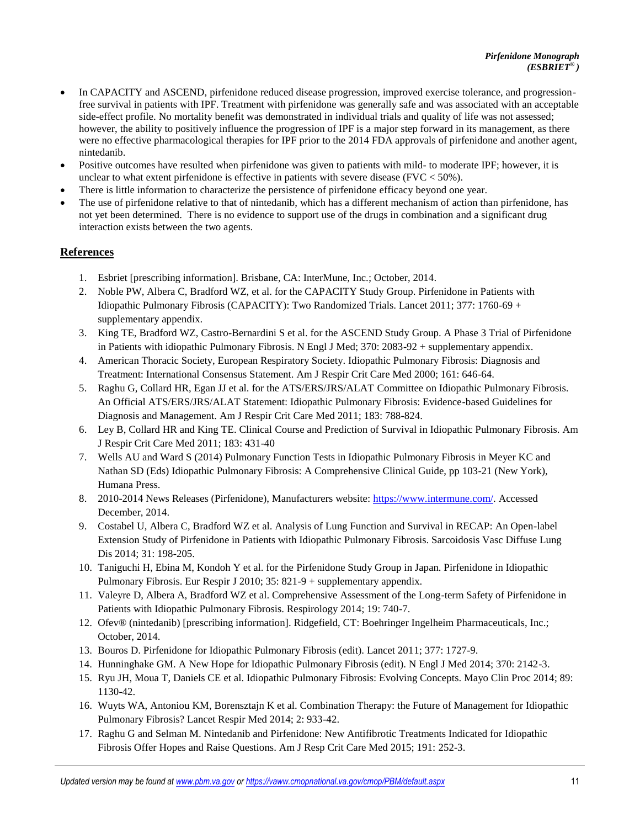- <span id="page-10-0"></span> In CAPACITY and ASCEND, pirfenidone reduced disease progression, improved exercise tolerance, and progressionfree survival in patients with IPF. Treatment with pirfenidone was generally safe and was associated with an acceptable side-effect profile. No mortality benefit was demonstrated in individual trials and quality of life was not assessed; however, the ability to positively influence the progression of IPF is a major step forward in its management, as there were no effective pharmacological therapies for IPF prior to the 2014 FDA approvals of pirfenidone and another agent, nintedanib.
- Positive outcomes have resulted when pirfenidone was given to patients with mild- to moderate IPF; however, it is unclear to what extent pirfenidone is effective in patients with severe disease (FVC < 50%).
- There is little information to characterize the persistence of pirfenidone efficacy beyond one year.
- The use of pirfenidone relative to that of nintedanib, which has a different mechanism of action than pirfenidone, has not yet been determined. There is no evidence to support use of the drugs in combination and a significant drug interaction exists between the two agents.

## **References**

- 1. Esbriet [prescribing information]. Brisbane, CA: InterMune, Inc.; October, 2014.
- 2. Noble PW, Albera C, Bradford WZ, et al. for the CAPACITY Study Group. Pirfenidone in Patients with Idiopathic Pulmonary Fibrosis (CAPACITY): Two Randomized Trials. Lancet 2011; 377: 1760-69 + supplementary appendix.
- 3. King TE, Bradford WZ, Castro-Bernardini S et al. for the ASCEND Study Group. A Phase 3 Trial of Pirfenidone in Patients with idiopathic Pulmonary Fibrosis. N Engl J Med; 370: 2083-92 + supplementary appendix.
- 4. American Thoracic Society, European Respiratory Society. Idiopathic Pulmonary Fibrosis: Diagnosis and Treatment: International Consensus Statement. Am J Respir Crit Care Med 2000; 161: 646-64.
- 5. Raghu G, Collard HR, Egan JJ et al. for the ATS/ERS/JRS/ALAT Committee on Idiopathic Pulmonary Fibrosis. An Official ATS/ERS/JRS/ALAT Statement: Idiopathic Pulmonary Fibrosis: Evidence-based Guidelines for Diagnosis and Management. Am J Respir Crit Care Med 2011; 183: 788-824.
- 6. Ley B, Collard HR and King TE. Clinical Course and Prediction of Survival in Idiopathic Pulmonary Fibrosis. Am J Respir Crit Care Med 2011; 183: 431-40
- 7. Wells AU and Ward S (2014) Pulmonary Function Tests in Idiopathic Pulmonary Fibrosis in Meyer KC and Nathan SD (Eds) Idiopathic Pulmonary Fibrosis: A Comprehensive Clinical Guide, pp 103-21 (New York), Humana Press.
- 8. 2010-2014 News Releases (Pirfenidone), Manufacturers website:<https://www.intermune.com/>. Accessed December, 2014.
- 9. Costabel U, Albera C, Bradford WZ et al. Analysis of Lung Function and Survival in RECAP: An Open-label Extension Study of Pirfenidone in Patients with Idiopathic Pulmonary Fibrosis. Sarcoidosis Vasc Diffuse Lung Dis 2014; 31: 198-205.
- 10. Taniguchi H, Ebina M, Kondoh Y et al. for the Pirfenidone Study Group in Japan. Pirfenidone in Idiopathic Pulmonary Fibrosis. Eur Respir J 2010; 35: 821-9 + supplementary appendix.
- 11. Valeyre D, Albera A, Bradford WZ et al. Comprehensive Assessment of the Long-term Safety of Pirfenidone in Patients with Idiopathic Pulmonary Fibrosis. Respirology 2014; 19: 740-7.
- 12. Ofev® (nintedanib) [prescribing information]. Ridgefield, CT: Boehringer Ingelheim Pharmaceuticals, Inc.; October, 2014.
- 13. Bouros D. Pirfenidone for Idiopathic Pulmonary Fibrosis (edit). Lancet 2011; 377: 1727-9.
- 14. Hunninghake GM. A New Hope for Idiopathic Pulmonary Fibrosis (edit). N Engl J Med 2014; 370: 2142-3.
- 15. Ryu JH, Moua T, Daniels CE et al. Idiopathic Pulmonary Fibrosis: Evolving Concepts. Mayo Clin Proc 2014; 89: 1130-42.
- 16. Wuyts WA, Antoniou KM, Borensztajn K et al. Combination Therapy: the Future of Management for Idiopathic Pulmonary Fibrosis? Lancet Respir Med 2014; 2: 933-42.
- 17. Raghu G and Selman M. Nintedanib and Pirfenidone: New Antifibrotic Treatments Indicated for Idiopathic Fibrosis Offer Hopes and Raise Questions. Am J Resp Crit Care Med 2015; 191: 252-3.